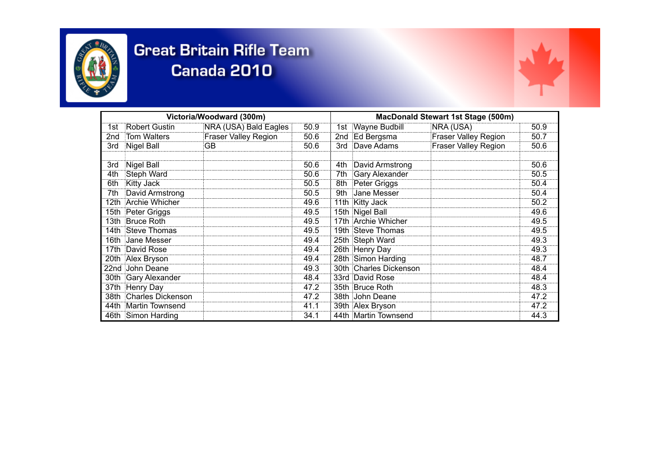



| Victoria/Woodward (300m) |                        |                       |      | <b>MacDonald Stewart 1st Stage (500m)</b> |                        |                             |      |
|--------------------------|------------------------|-----------------------|------|-------------------------------------------|------------------------|-----------------------------|------|
|                          | 1st Robert Gustin      | NRA (USA) Bald Eagles | 50.9 |                                           | 1st Wayne Budbill      | NRA (USA)                   | 50.9 |
| 2nd                      | Tom Walters            | Fraser Valley Region  | 50.6 |                                           | 2nd Ed Bergsma         | <b>Fraser Valley Region</b> | 50.7 |
| 3rd                      | Nigel Ball             | :GB                   | 50.6 |                                           | 3rd Dave Adams         | <b>Fraser Valley Region</b> | 50.6 |
|                          |                        |                       |      |                                           |                        |                             |      |
| 3rd                      | Nigel Ball             |                       | 50.6 |                                           | 4th David Armstrong    |                             | 50.6 |
| 4th                      | Steph Ward             |                       | 50.6 |                                           | 7th Gary Alexander     |                             | 50.5 |
| 6th                      | <b>Kitty Jack</b>      |                       | 50.5 |                                           | 8th Peter Griggs       |                             | 50.4 |
| 7th                      | David Armstrong        |                       | 50.5 |                                           | 9th Jane Messer        |                             | 50.4 |
|                          | 12th Archie Whicher    |                       | 49.6 |                                           | 11th Kitty Jack        |                             | 50.2 |
|                          | 15th Peter Griggs      |                       | 49.5 |                                           | 15th Nigel Ball        |                             | 49.6 |
|                          | 13th Bruce Roth        |                       | 49.5 |                                           | 17th Archie Whicher    |                             | 49.5 |
|                          | 14th Steve Thomas      |                       | 49.5 |                                           | 19th Steve Thomas      |                             | 49.5 |
|                          | 16th Jane Messer       |                       | 49.4 |                                           | 25th Steph Ward        |                             | 49.3 |
|                          | 17th David Rose        |                       | 49.4 |                                           | 26th Henry Day         |                             | 49.3 |
|                          | 20th Alex Bryson       |                       | 49.4 |                                           | 28th Simon Harding     |                             | 48.7 |
|                          | 22nd John Deane        |                       | 49.3 |                                           | 30th Charles Dickenson |                             | 48.4 |
|                          | 30th Gary Alexander    |                       | 48.4 |                                           | 33rd David Rose        |                             | 48.4 |
|                          | 37th Henry Day         |                       | 47.2 |                                           | 35th Bruce Roth        |                             | 48.3 |
|                          | 38th Charles Dickenson |                       | 47.2 |                                           | 38th John Deane        |                             | 47.2 |
|                          | 44th Martin Townsend   |                       | 41.1 |                                           | 39th Alex Bryson       |                             | 47.2 |
|                          | 46th Simon Harding     |                       | 34.1 |                                           | 44th Martin Townsend   |                             | 44.3 |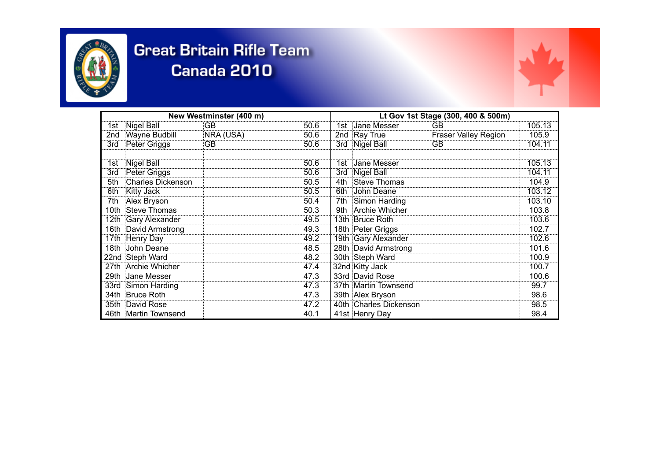



| New Westminster (400 m) |                      |           |      | Lt Gov 1st Stage (300, 400 & 500m) |                        |                             |        |
|-------------------------|----------------------|-----------|------|------------------------------------|------------------------|-----------------------------|--------|
|                         | 1st Nigel Ball       | :GB       | 50.6 |                                    | 1st Jane Messer        | <b>GB</b>                   | 105.13 |
| 2nd                     | Wayne Budbill        | NRA (USA) | 50.6 |                                    | 2nd Ray True           | <b>Fraser Valley Region</b> | 105.9  |
|                         | 3rd Peter Griggs     | :GB       | 50.6 |                                    | 3rd Nigel Ball         | GB                          | 104.11 |
|                         | 1st Nigel Ball       |           | 50.6 |                                    | 1st Jane Messer        |                             | 105.13 |
| 3rd                     | Peter Griggs         |           | 50.6 |                                    | 3rd Nigel Ball         |                             | 104.11 |
| 5th                     | Charles Dickenson    |           | 50.5 | 4th                                | Steve Thomas           |                             | 104.9  |
| 6th                     | <b>Kitty Jack</b>    |           | 50.5 | 6th                                | <b>John Deane</b>      |                             | 103.12 |
| 7th                     | Alex Bryson          |           | 50.4 |                                    | 7th Simon Harding      |                             | 103.10 |
|                         | 10th Steve Thomas    |           | 50.3 |                                    | 9th Archie Whicher     |                             | 103.8  |
|                         | 12th Gary Alexander  |           | 49.5 |                                    | 13th Bruce Roth        |                             | 103.6  |
|                         | 16th David Armstrong |           | 49.3 |                                    | 18th Peter Griggs      |                             | 102.7  |
|                         | 17th Henry Day       |           | 49.2 |                                    | 19th Gary Alexander    |                             | 102.6  |
|                         | 18th John Deane      |           | 48.5 |                                    | 28th David Armstrong   |                             | 101.6  |
|                         | 22nd Steph Ward      |           | 48.2 |                                    | 30th Steph Ward        |                             | 100.9  |
|                         | 27th Archie Whicher  |           | 47.4 |                                    | 32nd Kitty Jack        |                             | 100.7  |
|                         | 29th Jane Messer     |           | 47.3 |                                    | 33rd David Rose        |                             | 100.6  |
|                         | 33rd Simon Harding   |           | 47.3 |                                    | 37th Martin Townsend   |                             | 99.7   |
|                         | 34th Bruce Roth      |           | 47.3 |                                    | 39th Alex Bryson       |                             | 98.6   |
|                         | 35th David Rose      |           | 47.2 |                                    | 40th Charles Dickenson |                             | 98.5   |
|                         | 46th Martin Townsend |           | 40.1 |                                    | 41st Henry Day         |                             | 98.4   |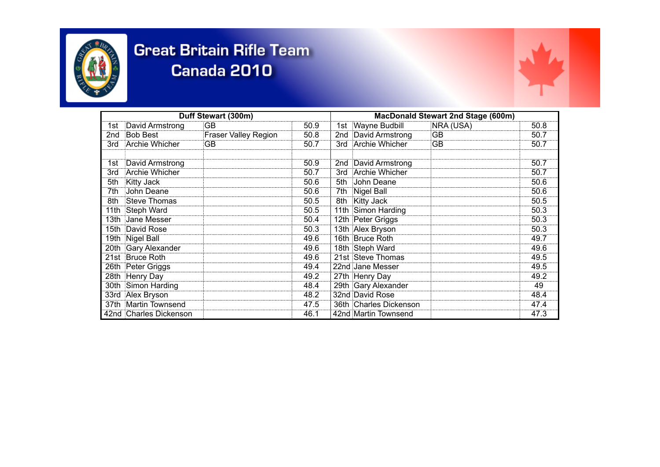

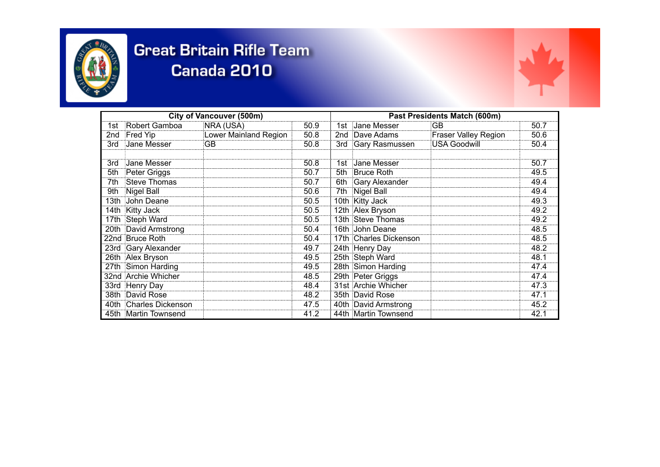



| <b>City of Vancouver (500m)</b> |                        |                       |      | Past Presidents Match (600m) |                        |                             |      |
|---------------------------------|------------------------|-----------------------|------|------------------------------|------------------------|-----------------------------|------|
|                                 | 1st Robert Gamboa      | NRA (USA)             | 50.9 |                              | 1st Jane Messer        | GB                          | 50.7 |
| 2nd                             | Fred Yip               | Lower Mainland Region | 50.8 |                              | 2nd Dave Adams         | <b>Fraser Valley Region</b> | 50.6 |
| 3rd                             | Jane Messer            | :GB                   | 50.8 | 3rd                          | Gary Rasmussen         | USA Goodwill                | 50.4 |
|                                 |                        |                       |      |                              |                        |                             |      |
| 3rd                             | Jane Messer            |                       | 50.8 |                              | 1st Jane Messer        |                             | 50.7 |
| 5th                             | Peter Griggs           |                       | 50.7 | 5th                          | <b>Bruce Roth</b>      |                             | 49.5 |
| 7th                             | Steve Thomas           |                       | 50.7 |                              | 6th Gary Alexander     |                             | 49.4 |
| 9th                             | Nigel Ball             |                       | 50.6 |                              | 7th Nigel Ball         |                             | 49.4 |
|                                 | 13th John Deane        |                       | 50.5 |                              | 10th Kitty Jack        |                             | 49.3 |
|                                 | 14th Kitty Jack        |                       | 50.5 |                              | 12th Alex Bryson       |                             | 49.2 |
|                                 | 17th Steph Ward        |                       | 50.5 |                              | 13th Steve Thomas      |                             | 49.2 |
|                                 | 20th David Armstrong   |                       | 50.4 |                              | 16th John Deane        |                             | 48.5 |
|                                 | 22nd Bruce Roth        |                       | 50.4 |                              | 17th Charles Dickenson |                             | 48.5 |
|                                 | 23rd Gary Alexander    |                       | 49.7 |                              | 24th Henry Day         |                             | 48.2 |
|                                 | 26th Alex Bryson       |                       | 49.5 |                              | 25th Steph Ward        |                             | 48.1 |
|                                 | 27th Simon Harding     |                       | 49.5 |                              | 28th Simon Harding     |                             | 47.4 |
|                                 | 32nd Archie Whicher    |                       | 48.5 |                              | 29th Peter Griggs      |                             | 47.4 |
|                                 | 33rd Henry Day         |                       | 48.4 |                              | 31st Archie Whicher    |                             | 47.3 |
|                                 | 38th David Rose        |                       | 48.2 |                              | 35th David Rose        |                             | 47.1 |
|                                 | 40th Charles Dickenson |                       | 47.5 |                              | 40th David Armstrong   |                             | 45.2 |
|                                 | 45th Martin Townsend   |                       | 41.2 |                              | 44th Martin Townsend   |                             | 42.1 |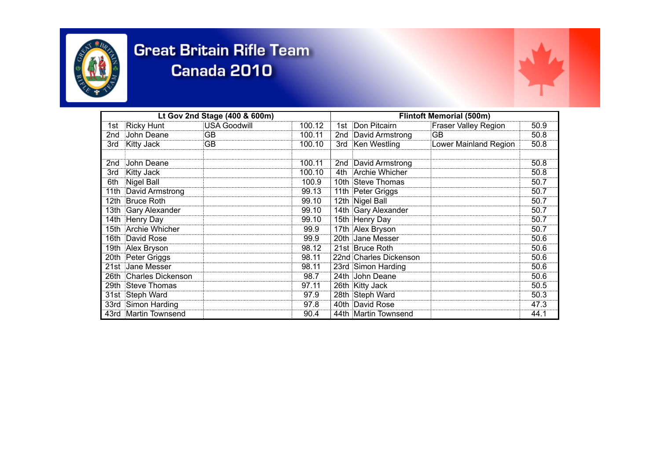



| Lt Gov 2nd Stage (400 & 600m) |                        |              |        | <b>Flintoft Memorial (500m)</b> |                        |                             |      |
|-------------------------------|------------------------|--------------|--------|---------------------------------|------------------------|-----------------------------|------|
|                               | 1st Ricky Hunt         | USA Goodwill | 100.12 |                                 | 1st Don Pitcairn       | <b>Fraser Valley Region</b> | 50.9 |
| 2nd                           | John Deane             | :GB          | 100.11 |                                 | 2nd David Armstrong    | GB                          | 50.8 |
| 3rd                           | <b>Kitty Jack</b>      | :GB          | 100.10 |                                 | 3rd Ken Westling       | Lower Mainland Region       | 50.8 |
|                               |                        |              |        |                                 |                        |                             |      |
| 2nd                           | John Deane             |              | 100.11 |                                 | 2nd David Armstrong    |                             | 50.8 |
| 3rd                           | <b>Kitty Jack</b>      |              | 100.10 |                                 | 4th Archie Whicher     |                             | 50.8 |
|                               | 6th Nigel Ball         |              | 100.9  |                                 | 10th Steve Thomas      |                             | 50.7 |
|                               | 11th David Armstrong   |              | 99.13  |                                 | 11th Peter Griggs      |                             | 50.7 |
|                               | 12th Bruce Roth        |              | 99.10  |                                 | 12th Nigel Ball        |                             | 50.7 |
|                               | 13th Gary Alexander    |              | 99.10  |                                 | 14th Gary Alexander    |                             | 50.7 |
|                               | 14th Henry Day         |              | 99.10  |                                 | 15th Henry Day         |                             | 50.7 |
|                               | 15th Archie Whicher    |              | 99.9   |                                 | 17th Alex Bryson       |                             | 50.7 |
|                               | 16th David Rose        |              | 99.9   |                                 | 20th Jane Messer       |                             | 50.6 |
|                               | 19th Alex Bryson       |              | 98.12  |                                 | 21st Bruce Roth        |                             | 50.6 |
|                               | 20th Peter Griggs      |              | 98.11  |                                 | 22nd Charles Dickenson |                             | 50.6 |
|                               | 21st Jane Messer       |              | 98.11  |                                 | 23rd Simon Harding     |                             | 50.6 |
|                               | 26th Charles Dickenson |              | 98.7   |                                 | 24th John Deane        |                             | 50.6 |
|                               | 29th Steve Thomas      |              | 97.11  |                                 | 26th Kitty Jack        |                             | 50.5 |
|                               | 31st Steph Ward        |              | 97.9   |                                 | 28th Steph Ward        |                             | 50.3 |
|                               | 33rd Simon Harding     |              | 97.8   |                                 | 40th David Rose        |                             | 47.3 |
|                               | 43rd Martin Townsend   |              | 90.4   |                                 | 44th Martin Townsend   |                             | 44.1 |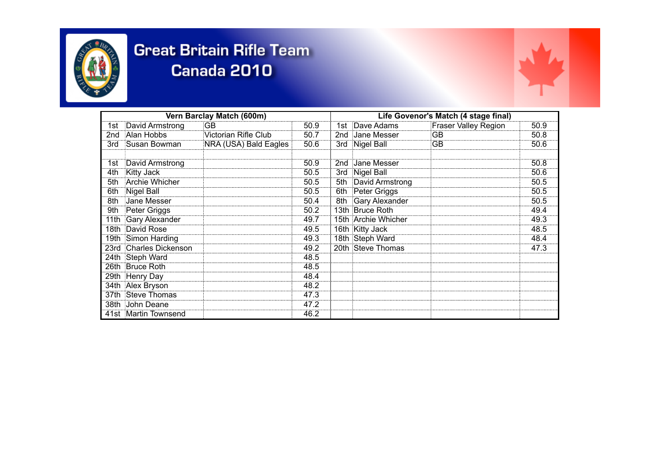